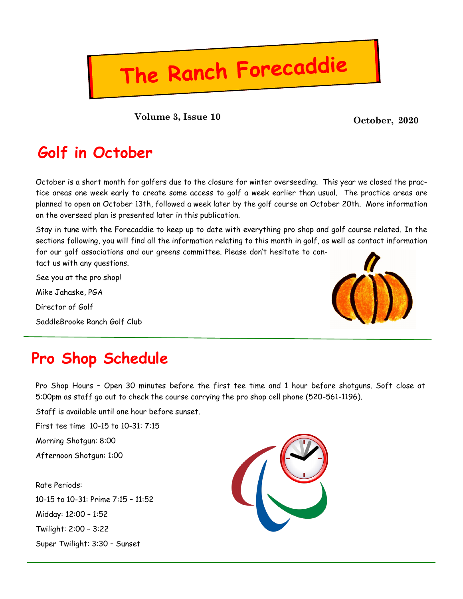### **October, 2020 Volume 3, Issue 10**

### **Golf in October**

October is a short month for golfers due to the closure for winter overseeding. This year we closed the practice areas one week early to create some access to golf a week earlier than usual. The practice areas are planned to open on October 13th, followed a week later by the golf course on October 20th. More information on the overseed plan is presented later in this publication.

The Ranch Forecaddie

Stay in tune with the Forecaddie to keep up to date with everything pro shop and golf course related. In the sections following, you will find all the information relating to this month in golf, as well as contact information for our golf associations and our greens committee. Please don't hesitate to contact us with any questions.

See you at the pro shop! Mike Jahaske, PGA Director of Golf SaddleBrooke Ranch Golf Club



## **Pro Shop Schedule**

Pro Shop Hours – Open 30 minutes before the first tee time and 1 hour before shotguns. Soft close at 5:00pm as staff go out to check the course carrying the pro shop cell phone (520-561-1196).

Staff is available until one hour before sunset.

First tee time 10-15 to 10-31: 7:15

Morning Shotgun: 8:00

Afternoon Shotgun: 1:00

Rate Periods: 10-15 to 10-31: Prime 7:15 – 11:52 Midday: 12:00 – 1:52 Twilight: 2:00 – 3:22 Super Twilight: 3:30 – Sunset

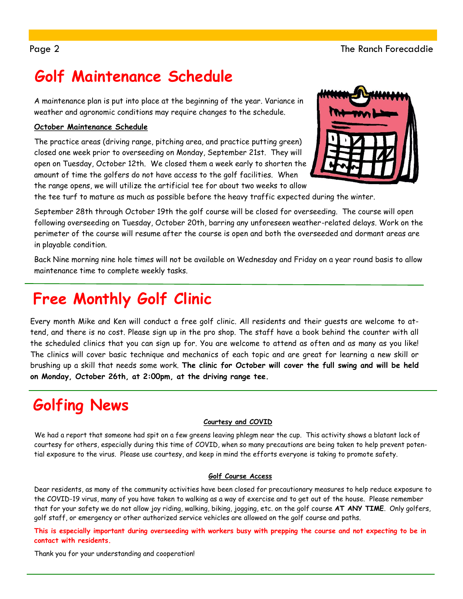# **Golf Maintenance Schedule**

A maintenance plan is put into place at the beginning of the year. Variance in weather and agronomic conditions may require changes to the schedule.

### **October Maintenance Schedule**

The practice areas (driving range, pitching area, and practice putting green) closed one week prior to overseeding on Monday, September 21st. They will open on Tuesday, October 12th. We closed them a week early to shorten the amount of time the golfers do not have access to the golf facilities. When the range opens, we will utilize the artificial tee for about two weeks to allow



the tee turf to mature as much as possible before the heavy traffic expected during the winter.

September 28th through October 19th the golf course will be closed for overseeding. The course will open following overseeding on Tuesday, October 20th, barring any unforeseen weather-related delays. Work on the perimeter of the course will resume after the course is open and both the overseeded and dormant areas are in playable condition.

Back Nine morning nine hole times will not be available on Wednesday and Friday on a year round basis to allow maintenance time to complete weekly tasks.

# **Free Monthly Golf Clinic**

Every month Mike and Ken will conduct a free golf clinic. All residents and their guests are welcome to attend, and there is no cost. Please sign up in the pro shop. The staff have a book behind the counter with all the scheduled clinics that you can sign up for. You are welcome to attend as often and as many as you like! The clinics will cover basic technique and mechanics of each topic and are great for learning a new skill or brushing up a skill that needs some work. **The clinic for October will cover the full swing and will be held on Monday, October 26th, at 2:00pm, at the driving range tee.** 

# **Golfing News**

### **Courtesy and COVID**

We had a report that someone had spit on a few greens leaving phlegm near the cup. This activity shows a blatant lack of courtesy for others, especially during this time of COVID, when so many precautions are being taken to help prevent potential exposure to the virus. Please use courtesy, and keep in mind the efforts everyone is taking to promote safety.

### **Golf Course Access**

Dear residents, as many of the community activities have been closed for precautionary measures to help reduce exposure to the COVID-19 virus, many of you have taken to walking as a way of exercise and to get out of the house. Please remember that for your safety we do not allow joy riding, walking, biking, jogging, etc. on the golf course **AT ANY TIME**. Only golfers, golf staff, or emergency or other authorized service vehicles are allowed on the golf course and paths.

**This is especially important during overseeding with workers busy with prepping the course and not expecting to be in contact with residents.**

Thank you for your understanding and cooperation!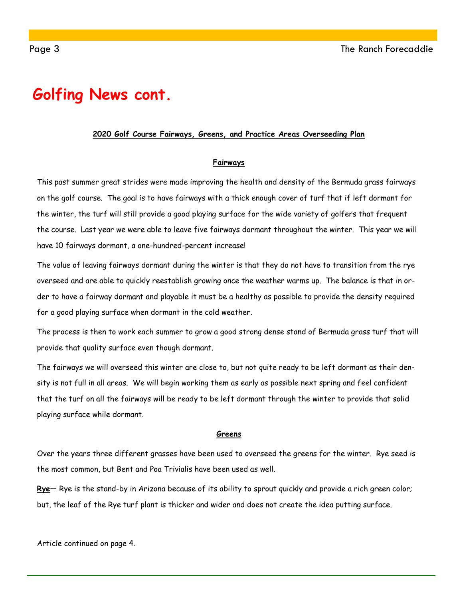### **Golfing News cont.**

#### **2020 Golf Course Fairways, Greens, and Practice Areas Overseeding Plan**

#### **Fairways**

This past summer great strides were made improving the health and density of the Bermuda grass fairways on the golf course. The goal is to have fairways with a thick enough cover of turf that if left dormant for the winter, the turf will still provide a good playing surface for the wide variety of golfers that frequent the course. Last year we were able to leave five fairways dormant throughout the winter. This year we will have 10 fairways dormant, a one-hundred-percent increase!

The value of leaving fairways dormant during the winter is that they do not have to transition from the rye overseed and are able to quickly reestablish growing once the weather warms up. The balance is that in order to have a fairway dormant and playable it must be a healthy as possible to provide the density required for a good playing surface when dormant in the cold weather.

The process is then to work each summer to grow a good strong dense stand of Bermuda grass turf that will provide that quality surface even though dormant.

The fairways we will overseed this winter are close to, but not quite ready to be left dormant as their density is not full in all areas. We will begin working them as early as possible next spring and feel confident that the turf on all the fairways will be ready to be left dormant through the winter to provide that solid playing surface while dormant.

#### **Greens**

Over the years three different grasses have been used to overseed the greens for the winter. Rye seed is the most common, but Bent and Poa Trivialis have been used as well.

**Rye**— Rye is the stand-by in Arizona because of its ability to sprout quickly and provide a rich green color; but, the leaf of the Rye turf plant is thicker and wider and does not create the idea putting surface.

Article continued on page 4.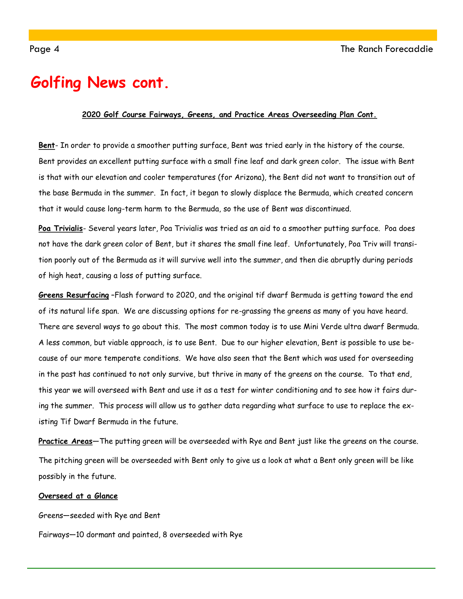### **Golfing News cont.**

#### **2020 Golf Course Fairways, Greens, and Practice Areas Overseeding Plan Cont.**

**Bent**- In order to provide a smoother putting surface, Bent was tried early in the history of the course. Bent provides an excellent putting surface with a small fine leaf and dark green color. The issue with Bent is that with our elevation and cooler temperatures (for Arizona), the Bent did not want to transition out of the base Bermuda in the summer. In fact, it began to slowly displace the Bermuda, which created concern that it would cause long-term harm to the Bermuda, so the use of Bent was discontinued.

**Poa Trivialis**- Several years later, Poa Trivialis was tried as an aid to a smoother putting surface. Poa does not have the dark green color of Bent, but it shares the small fine leaf. Unfortunately, Poa Triv will transition poorly out of the Bermuda as it will survive well into the summer, and then die abruptly during periods of high heat, causing a loss of putting surface.

**Greens Resurfacing** –Flash forward to 2020, and the original tif dwarf Bermuda is getting toward the end of its natural life span. We are discussing options for re-grassing the greens as many of you have heard. There are several ways to go about this. The most common today is to use Mini Verde ultra dwarf Bermuda. A less common, but viable approach, is to use Bent. Due to our higher elevation, Bent is possible to use because of our more temperate conditions. We have also seen that the Bent which was used for overseeding in the past has continued to not only survive, but thrive in many of the greens on the course. To that end, this year we will overseed with Bent and use it as a test for winter conditioning and to see how it fairs during the summer. This process will allow us to gather data regarding what surface to use to replace the existing Tif Dwarf Bermuda in the future.

**Practice Areas**—The putting green will be overseeded with Rye and Bent just like the greens on the course. The pitching green will be overseeded with Bent only to give us a look at what a Bent only green will be like possibly in the future.

#### **Overseed at a Glance**

Greens—seeded with Rye and Bent

Fairways—10 dormant and painted, 8 overseeded with Rye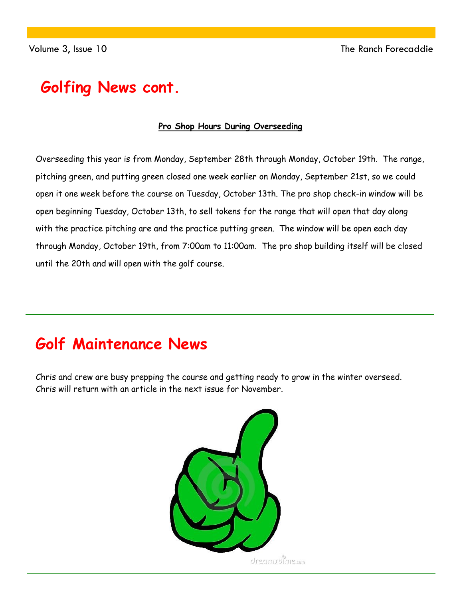### **Golfing News cont.**

### **Pro Shop Hours During Overseeding**

Overseeding this year is from Monday, September 28th through Monday, October 19th. The range, pitching green, and putting green closed one week earlier on Monday, September 21st, so we could open it one week before the course on Tuesday, October 13th. The pro shop check-in window will be open beginning Tuesday, October 13th, to sell tokens for the range that will open that day along with the practice pitching are and the practice putting green. The window will be open each day through Monday, October 19th, from 7:00am to 11:00am. The pro shop building itself will be closed until the 20th and will open with the golf course.

## **Golf Maintenance News**

Chris and crew are busy prepping the course and getting ready to grow in the winter overseed. Chris will return with an article in the next issue for November.